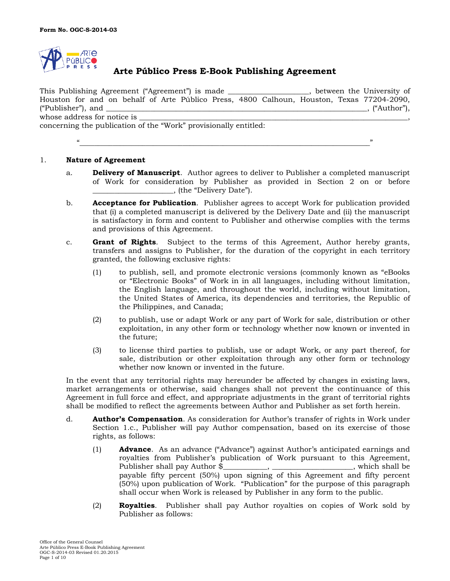

# **Arte Público Press E-Book Publishing Agreement**

This Publishing Agreement ("Agreement") is made \_\_\_\_\_\_\_\_\_\_\_\_\_\_\_\_\_\_\_\_\_\_, between the University of Houston for and on behalf of Arte Público Press, 4800 Calhoun, Houston, Texas 77204-2090, ("Publisher"), and  $\mathcal{L}$  and  $\mathcal{L}$  and  $\mathcal{L}$  and  $\mathcal{L}$  and  $\mathcal{L}$  and  $\mathcal{L}$  and  $\mathcal{L}$  and  $\mathcal{L}$  and  $\mathcal{L}$  and  $\mathcal{L}$  and  $\mathcal{L}$  and  $\mathcal{L}$  and  $\mathcal{L}$  and  $\mathcal{L}$  and  $\mathcal{L}$  and  $\mathcal{L}$ whose address for notice is concerning the publication of the "Work" provisionally entitled:

"\_\_\_\_\_\_\_\_\_\_\_\_\_\_\_\_\_\_\_\_\_\_\_\_\_\_\_\_\_\_\_\_\_\_\_\_\_\_\_\_\_\_\_\_\_\_\_\_\_\_\_\_\_\_\_\_\_\_\_\_\_\_\_\_\_\_\_\_\_\_\_\_\_\_\_\_\_\_\_"

1. **Nature of Agreement**

- a. **Delivery of Manuscript**. Author agrees to deliver to Publisher a completed manuscript of Work for consideration by Publisher as provided in Section 2 on or before \_\_\_\_\_\_\_\_\_\_\_\_\_\_\_\_\_\_\_\_\_\_, (the "Delivery Date").
- b. **Acceptance for Publication**. Publisher agrees to accept Work for publication provided that (i) a completed manuscript is delivered by the Delivery Date and (ii) the manuscript is satisfactory in form and content to Publisher and otherwise complies with the terms and provisions of this Agreement.
- c. **Grant of Rights**. Subject to the terms of this Agreement, Author hereby grants, transfers and assigns to Publisher, for the duration of the copyright in each territory granted, the following exclusive rights:
	- (1) to publish, sell, and promote electronic versions (commonly known as "eBooks or "Electronic Books" of Work in in all languages, including without limitation, the English language, and throughout the world, including without limitation, the United States of America, its dependencies and territories, the Republic of the Philippines, and Canada;
	- (2) to publish, use or adapt Work or any part of Work for sale, distribution or other exploitation, in any other form or technology whether now known or invented in the future;
	- (3) to license third parties to publish, use or adapt Work, or any part thereof, for sale, distribution or other exploitation through any other form or technology whether now known or invented in the future.

In the event that any territorial rights may hereunder be affected by changes in existing laws, market arrangements or otherwise, said changes shall not prevent the continuance of this Agreement in full force and effect, and appropriate adjustments in the grant of territorial rights shall be modified to reflect the agreements between Author and Publisher as set forth herein.

- d. **Author's Compensation**. As consideration for Author's transfer of rights in Work under Section 1.c., Publisher will pay Author compensation, based on its exercise of those rights, as follows:
	- (1) **Advance**. As an advance ("Advance") against Author's anticipated earnings and royalties from Publisher's publication of Work pursuant to this Agreement, Publisher shall pay Author \$\_\_\_\_\_\_\_\_\_\_, \_\_\_\_\_\_\_\_\_\_\_\_\_\_\_\_\_\_\_\_, which shall be payable fifty percent (50%) upon signing of this Agreement and fifty percent (50%) upon publication of Work. "Publication" for the purpose of this paragraph shall occur when Work is released by Publisher in any form to the public.
	- (2) **Royalties**. Publisher shall pay Author royalties on copies of Work sold by Publisher as follows: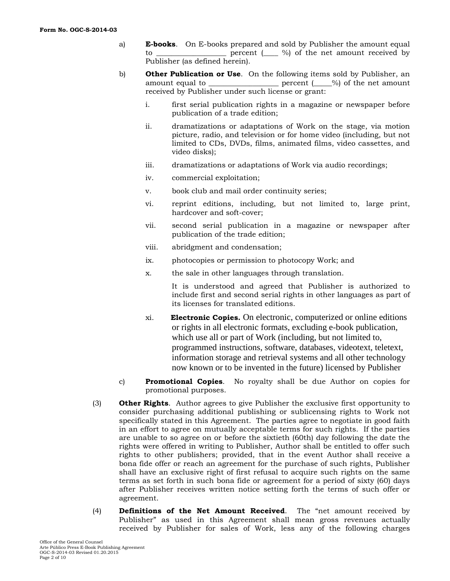- a) **E-books**. On E-books prepared and sold by Publisher the amount equal to  $\frac{1}{\sqrt{2\pi}}$  percent  $\frac{1}{\sqrt{2\pi}}$  %) of the net amount received by Publisher (as defined herein).
- b) **Other Publication or Use**. On the following items sold by Publisher, an amount equal to  $\qquad \qquad \text{percent}$  ( $\qquad \%$ ) of the net amount received by Publisher under such license or grant:
	- i. first serial publication rights in a magazine or newspaper before publication of a trade edition;
	- ii. dramatizations or adaptations of Work on the stage, via motion picture, radio, and television or for home video (including, but not limited to CDs, DVDs, films, animated films, video cassettes, and video disks);
	- iii. dramatizations or adaptations of Work via audio recordings;
	- iv. commercial exploitation;
	- v. book club and mail order continuity series;
	- vi. reprint editions, including, but not limited to, large print, hardcover and soft-cover;
	- vii. second serial publication in a magazine or newspaper after publication of the trade edition;
	- viii. abridgment and condensation;
	- ix. photocopies or permission to photocopy Work; and
	- x. the sale in other languages through translation.

It is understood and agreed that Publisher is authorized to include first and second serial rights in other languages as part of its licenses for translated editions.

- xi. **Electronic Copies.** On electronic, computerized or online editions or rights in all electronic formats, excluding e-book publication, which use all or part of Work (including, but not limited to, programmed instructions, software, databases, videotext, teletext, information storage and retrieval systems and all other technology now known or to be invented in the future) licensed by Publisher
- c) **Promotional Copies**. No royalty shall be due Author on copies for promotional purposes.
- (3) **Other Rights**. Author agrees to give Publisher the exclusive first opportunity to consider purchasing additional publishing or sublicensing rights to Work not specifically stated in this Agreement. The parties agree to negotiate in good faith in an effort to agree on mutually acceptable terms for such rights. If the parties are unable to so agree on or before the sixtieth (60th) day following the date the rights were offered in writing to Publisher, Author shall be entitled to offer such rights to other publishers; provided, that in the event Author shall receive a bona fide offer or reach an agreement for the purchase of such rights, Publisher shall have an exclusive right of first refusal to acquire such rights on the same terms as set forth in such bona fide or agreement for a period of sixty (60) days after Publisher receives written notice setting forth the terms of such offer or agreement.
- (4) **Definitions of the Net Amount Received**. The "net amount received by Publisher" as used in this Agreement shall mean gross revenues actually received by Publisher for sales of Work, less any of the following charges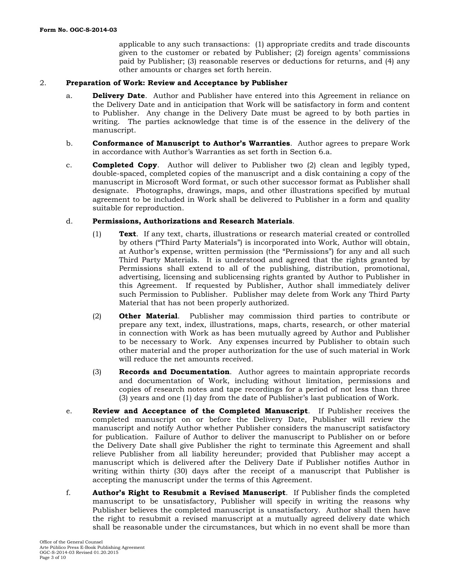applicable to any such transactions: (1) appropriate credits and trade discounts given to the customer or rebated by Publisher; (2) foreign agents' commissions paid by Publisher; (3) reasonable reserves or deductions for returns, and (4) any other amounts or charges set forth herein.

#### 2. **Preparation of Work: Review and Acceptance by Publisher**

- a. **Delivery Date**. Author and Publisher have entered into this Agreement in reliance on the Delivery Date and in anticipation that Work will be satisfactory in form and content to Publisher. Any change in the Delivery Date must be agreed to by both parties in writing. The parties acknowledge that time is of the essence in the delivery of the manuscript.
- b. **Conformance of Manuscript to Author's Warranties**. Author agrees to prepare Work in accordance with Author's Warranties as set forth in Section 6.a.
- c. **Completed Copy**. Author will deliver to Publisher two (2) clean and legibly typed, double-spaced, completed copies of the manuscript and a disk containing a copy of the manuscript in Microsoft Word format, or such other successor format as Publisher shall designate. Photographs, drawings, maps, and other illustrations specified by mutual agreement to be included in Work shall be delivered to Publisher in a form and quality suitable for reproduction.

#### d. **Permissions, Authorizations and Research Materials**.

- (1) **Text**. If any text, charts, illustrations or research material created or controlled by others ("Third Party Materials") is incorporated into Work, Author will obtain, at Author's expense, written permission (the "Permissions") for any and all such Third Party Materials. It is understood and agreed that the rights granted by Permissions shall extend to all of the publishing, distribution, promotional, advertising, licensing and sublicensing rights granted by Author to Publisher in this Agreement. If requested by Publisher, Author shall immediately deliver such Permission to Publisher. Publisher may delete from Work any Third Party Material that has not been properly authorized.
- (2) **Other Material**. Publisher may commission third parties to contribute or prepare any text, index, illustrations, maps, charts, research, or other material in connection with Work as has been mutually agreed by Author and Publisher to be necessary to Work. Any expenses incurred by Publisher to obtain such other material and the proper authorization for the use of such material in Work will reduce the net amounts received.
- (3) **Records and Documentation**. Author agrees to maintain appropriate records and documentation of Work, including without limitation, permissions and copies of research notes and tape recordings for a period of not less than three (3) years and one (1) day from the date of Publisher's last publication of Work.
- e. **Review and Acceptance of the Completed Manuscript**. If Publisher receives the completed manuscript on or before the Delivery Date, Publisher will review the manuscript and notify Author whether Publisher considers the manuscript satisfactory for publication. Failure of Author to deliver the manuscript to Publisher on or before the Delivery Date shall give Publisher the right to terminate this Agreement and shall relieve Publisher from all liability hereunder; provided that Publisher may accept a manuscript which is delivered after the Delivery Date if Publisher notifies Author in writing within thirty (30) days after the receipt of a manuscript that Publisher is accepting the manuscript under the terms of this Agreement.
- f. **Author's Right to Resubmit a Revised Manuscript**. If Publisher finds the completed manuscript to be unsatisfactory, Publisher will specify in writing the reasons why Publisher believes the completed manuscript is unsatisfactory. Author shall then have the right to resubmit a revised manuscript at a mutually agreed delivery date which shall be reasonable under the circumstances, but which in no event shall be more than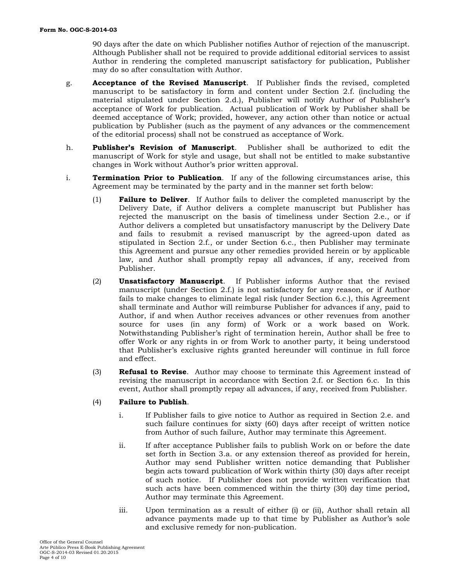90 days after the date on which Publisher notifies Author of rejection of the manuscript. Although Publisher shall not be required to provide additional editorial services to assist Author in rendering the completed manuscript satisfactory for publication, Publisher may do so after consultation with Author.

- g. **Acceptance of the Revised Manuscript**. If Publisher finds the revised, completed manuscript to be satisfactory in form and content under Section 2.f. (including the material stipulated under Section 2.d.), Publisher will notify Author of Publisher's acceptance of Work for publication. Actual publication of Work by Publisher shall be deemed acceptance of Work; provided, however, any action other than notice or actual publication by Publisher (such as the payment of any advances or the commencement of the editorial process) shall not be construed as acceptance of Work.
- h. **Publisher's Revision of Manuscript**. Publisher shall be authorized to edit the manuscript of Work for style and usage, but shall not be entitled to make substantive changes in Work without Author's prior written approval.
- i. **Termination Prior to Publication**. If any of the following circumstances arise, this Agreement may be terminated by the party and in the manner set forth below:
	- (1) **Failure to Deliver**. If Author fails to deliver the completed manuscript by the Delivery Date, if Author delivers a complete manuscript but Publisher has rejected the manuscript on the basis of timeliness under Section 2.e., or if Author delivers a completed but unsatisfactory manuscript by the Delivery Date and fails to resubmit a revised manuscript by the agreed-upon dated as stipulated in Section 2.f., or under Section 6.c., then Publisher may terminate this Agreement and pursue any other remedies provided herein or by applicable law, and Author shall promptly repay all advances, if any, received from Publisher.
	- (2) **Unsatisfactory Manuscript**. If Publisher informs Author that the revised manuscript (under Section 2.f.) is not satisfactory for any reason, or if Author fails to make changes to eliminate legal risk (under Section 6.c.), this Agreement shall terminate and Author will reimburse Publisher for advances if any, paid to Author, if and when Author receives advances or other revenues from another source for uses (in any form) of Work or a work based on Work. Notwithstanding Publisher's right of termination herein, Author shall be free to offer Work or any rights in or from Work to another party, it being understood that Publisher's exclusive rights granted hereunder will continue in full force and effect.
	- (3) **Refusal to Revise**. Author may choose to terminate this Agreement instead of revising the manuscript in accordance with Section 2.f. or Section 6.c. In this event, Author shall promptly repay all advances, if any, received from Publisher.

# (4) **Failure to Publish**.

- i. If Publisher fails to give notice to Author as required in Section 2.e. and such failure continues for sixty (60) days after receipt of written notice from Author of such failure, Author may terminate this Agreement.
- ii. If after acceptance Publisher fails to publish Work on or before the date set forth in Section 3.a. or any extension thereof as provided for herein, Author may send Publisher written notice demanding that Publisher begin acts toward publication of Work within thirty (30) days after receipt of such notice. If Publisher does not provide written verification that such acts have been commenced within the thirty (30) day time period, Author may terminate this Agreement.
- iii. Upon termination as a result of either (i) or (ii), Author shall retain all advance payments made up to that time by Publisher as Author's sole and exclusive remedy for non-publication.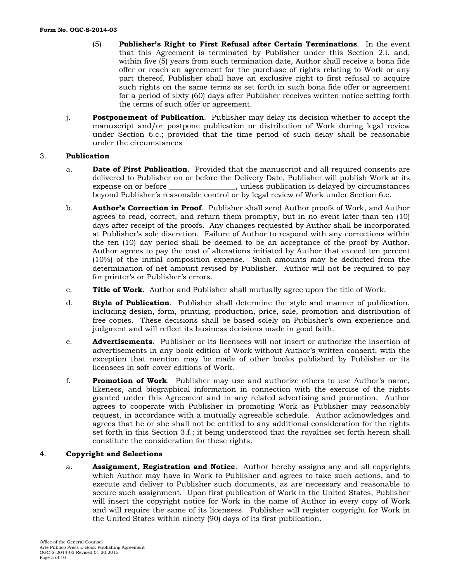- (5) **Publisher's Right to First Refusal after Certain Terminations**. In the event that this Agreement is terminated by Publisher under this Section 2.i. and, within five (5) years from such termination date, Author shall receive a bona fide offer or reach an agreement for the purchase of rights relating to Work or any part thereof, Publisher shall have an exclusive right to first refusal to acquire such rights on the same terms as set forth in such bona fide offer or agreement for a period of sixty (60) days after Publisher receives written notice setting forth the terms of such offer or agreement.
- j. **Postponement of Publication**. Publisher may delay its decision whether to accept the manuscript and/or postpone publication or distribution of Work during legal review under Section 6.c.; provided that the time period of such delay shall be reasonable under the circumstances

#### 3. **Publication**

- a. **Date of First Publication**. Provided that the manuscript and all required consents are delivered to Publisher on or before the Delivery Date, Publisher will publish Work at its expense on or before \_\_\_\_\_\_\_\_\_\_\_\_\_\_\_\_\_\_, unless publication is delayed by circumstances beyond Publisher's reasonable control or by legal review of Work under Section 6.c.
- b. **Author's Correction in Proof**. Publisher shall send Author proofs of Work, and Author agrees to read, correct, and return them promptly, but in no event later than ten (10) days after receipt of the proofs. Any changes requested by Author shall be incorporated at Publisher's sole discretion. Failure of Author to respond with any corrections within the ten (10) day period shall be deemed to be an acceptance of the proof by Author. Author agrees to pay the cost of alterations initiated by Author that exceed ten percent (10%) of the initial composition expense. Such amounts may be deducted from the determination of net amount revised by Publisher. Author will not be required to pay for printer's or Publisher's errors.
- c. **Title of Work**. Author and Publisher shall mutually agree upon the title of Work.
- d. **Style of Publication**. Publisher shall determine the style and manner of publication, including design, form, printing, production, price, sale, promotion and distribution of free copies. These decisions shall be based solely on Publisher's own experience and judgment and will reflect its business decisions made in good faith.
- e. **Advertisements**. Publisher or its licensees will not insert or authorize the insertion of advertisements in any book edition of Work without Author's written consent, with the exception that mention may be made of other books published by Publisher or its licensees in soft-cover editions of Work.
- f. **Promotion of Work**. Publisher may use and authorize others to use Author's name, likeness, and biographical information in connection with the exercise of the rights granted under this Agreement and in any related advertising and promotion. Author agrees to cooperate with Publisher in promoting Work as Publisher may reasonably request, in accordance with a mutually agreeable schedule. Author acknowledges and agrees that he or she shall not be entitled to any additional consideration for the rights set forth in this Section 3.f.; it being understood that the royalties set forth herein shall constitute the consideration for these rights.

# 4. **Copyright and Selections**

a. **Assignment, Registration and Notice**. Author hereby assigns any and all copyrights which Author may have in Work to Publisher and agrees to take such actions, and to execute and deliver to Publisher such documents, as are necessary and reasonable to secure such assignment. Upon first publication of Work in the United States, Publisher will insert the copyright notice for Work in the name of Author in every copy of Work and will require the same of its licensees. Publisher will register copyright for Work in the United States within ninety (90) days of its first publication.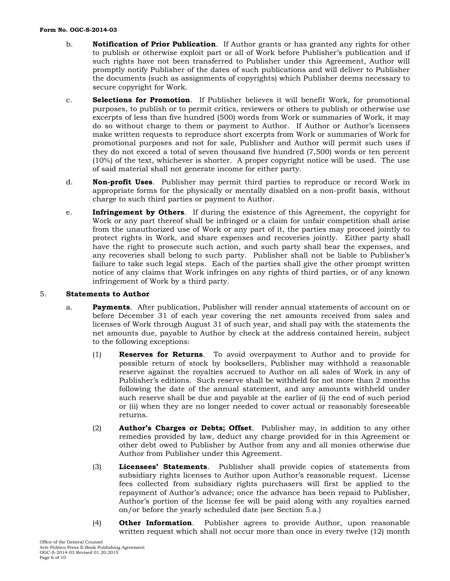#### **Form No. OGC-S-2014-03**

- b. **Notification of Prior Publication**. If Author grants or has granted any rights for other to publish or otherwise exploit part or all of Work before Publisher's publication and if such rights have not been transferred to Publisher under this Agreement, Author will promptly notify Publisher of the dates of such publications and will deliver to Publisher the documents (such as assignments of copyrights) which Publisher deems necessary to secure copyright for Work.
- c. **Selections for Promotion**. If Publisher believes it will benefit Work, for promotional purposes, to publish or to permit critics, reviewers or others to publish or otherwise use excerpts of less than five hundred (500) words from Work or summaries of Work, it may do so without charge to them or payment to Author. If Author or Author's licensees make written requests to reproduce short excerpts from Work or summaries of Work for promotional purposes and not for sale, Publisher and Author will permit such uses if they do not exceed a total of seven thousand five hundred (7,500) words or ten percent (10%) of the text, whichever is shorter. A proper copyright notice will be used. The use of said material shall not generate income for either party.
- d. **Non-profit Uses**. Publisher may permit third parties to reproduce or record Work in appropriate forms for the physically or mentally disabled on a non-profit basis, without charge to such third parties or payment to Author.
- e. **Infringement by Others**. If during the existence of this Agreement, the copyright for Work or any part thereof shall be infringed or a claim for unfair competition shall arise from the unauthorized use of Work or any part of it, the parties may proceed jointly to protect rights in Work, and share expenses and recoveries jointly. Either party shall have the right to prosecute such action, and such party shall bear the expenses, and any recoveries shall belong to such party. Publisher shall not be liable to Publisher's failure to take such legal steps. Each of the parties shall give the other prompt written notice of any claims that Work infringes on any rights of third parties, or of any known infringement of Work by a third party.

# 5. **Statements to Author**

- a. **Payments**. After publication, Publisher will render annual statements of account on or before December 31 of each year covering the net amounts received from sales and licenses of Work through August 31 of such year, and shall pay with the statements the net amounts due, payable to Author by check at the address contained herein, subject to the following exceptions:
	- (1) **Reserves for Returns**. To avoid overpayment to Author and to provide for possible return of stock by booksellers, Publisher may withhold a reasonable reserve against the royalties accrued to Author on all sales of Work in any of Publisher's editions. Such reserve shall be withheld for not more than 2 months following the date of the annual statement, and any amounts withheld under such reserve shall be due and payable at the earlier of (i) the end of such period or (ii) when they are no longer needed to cover actual or reasonably foreseeable returns.
	- (2) **Author's Charges or Debts; Offset**. Publisher may, in addition to any other remedies provided by law, deduct any charge provided for in this Agreement or other debt owed to Publisher by Author from any and all monies otherwise due Author from Publisher under this Agreement.
	- (3) **Licensees' Statements**. Publisher shall provide copies of statements from subsidiary rights licenses to Author upon Author's reasonable request. License fees collected from subsidiary rights purchasers will first be applied to the repayment of Author's advance; once the advance has been repaid to Publisher, Author's portion of the license fee will be paid along with any royalties earned on/or before the yearly scheduled date (see Section 5.a.)
	- (4) **Other Information**. Publisher agrees to provide Author, upon reasonable written request which shall not occur more than once in every twelve (12) month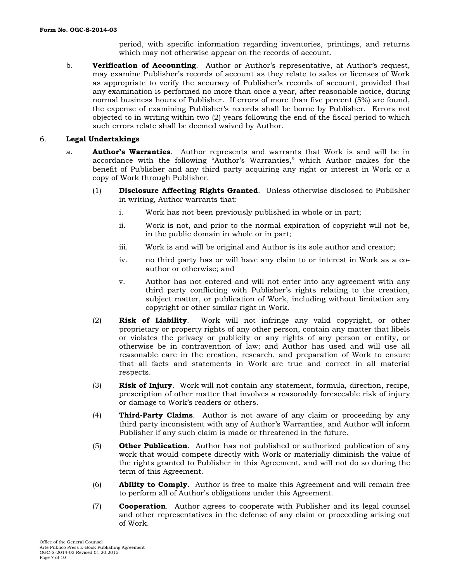period, with specific information regarding inventories, printings, and returns which may not otherwise appear on the records of account.

b. **Verification of Accounting**. Author or Author's representative, at Author's request, may examine Publisher's records of account as they relate to sales or licenses of Work as appropriate to verify the accuracy of Publisher's records of account, provided that any examination is performed no more than once a year, after reasonable notice, during normal business hours of Publisher. If errors of more than five percent (5%) are found, the expense of examining Publisher's records shall be borne by Publisher. Errors not objected to in writing within two (2) years following the end of the fiscal period to which such errors relate shall be deemed waived by Author.

# 6. **Legal Undertakings**

- a. **Author's Warranties**. Author represents and warrants that Work is and will be in accordance with the following "Author's Warranties," which Author makes for the benefit of Publisher and any third party acquiring any right or interest in Work or a copy of Work through Publisher.
	- (1) **Disclosure Affecting Rights Granted**. Unless otherwise disclosed to Publisher in writing, Author warrants that:
		- i. Work has not been previously published in whole or in part;
		- ii. Work is not, and prior to the normal expiration of copyright will not be, in the public domain in whole or in part;
		- iii. Work is and will be original and Author is its sole author and creator;
		- iv. no third party has or will have any claim to or interest in Work as a coauthor or otherwise; and
		- v. Author has not entered and will not enter into any agreement with any third party conflicting with Publisher's rights relating to the creation, subject matter, or publication of Work, including without limitation any copyright or other similar right in Work.
	- (2) **Risk of Liability**. Work will not infringe any valid copyright, or other proprietary or property rights of any other person, contain any matter that libels or violates the privacy or publicity or any rights of any person or entity, or otherwise be in contravention of law; and Author has used and will use all reasonable care in the creation, research, and preparation of Work to ensure that all facts and statements in Work are true and correct in all material respects.
	- (3) **Risk of Injury**. Work will not contain any statement, formula, direction, recipe, prescription of other matter that involves a reasonably foreseeable risk of injury or damage to Work's readers or others.
	- (4) **Third-Party Claims**. Author is not aware of any claim or proceeding by any third party inconsistent with any of Author's Warranties, and Author will inform Publisher if any such claim is made or threatened in the future.
	- (5) **Other Publication**. Author has not published or authorized publication of any work that would compete directly with Work or materially diminish the value of the rights granted to Publisher in this Agreement, and will not do so during the term of this Agreement.
	- (6) **Ability to Comply**. Author is free to make this Agreement and will remain free to perform all of Author's obligations under this Agreement.
	- (7) **Cooperation**. Author agrees to cooperate with Publisher and its legal counsel and other representatives in the defense of any claim or proceeding arising out of Work.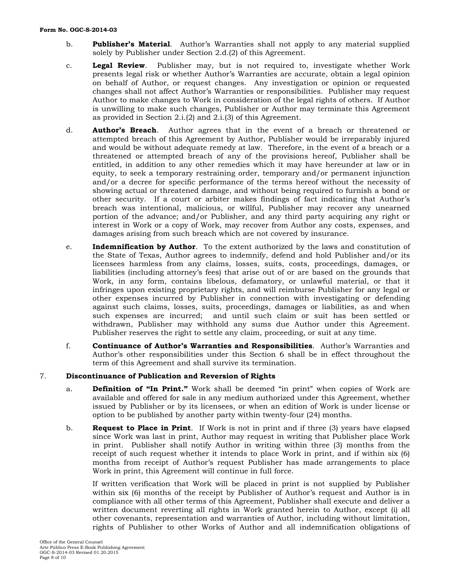#### **Form No. OGC-S-2014-03**

- b. **Publisher's Material**. Author's Warranties shall not apply to any material supplied solely by Publisher under Section 2.d.(2) of this Agreement.
- c. **Legal Review**. Publisher may, but is not required to, investigate whether Work presents legal risk or whether Author's Warranties are accurate, obtain a legal opinion on behalf of Author, or request changes. Any investigation or opinion or requested changes shall not affect Author's Warranties or responsibilities. Publisher may request Author to make changes to Work in consideration of the legal rights of others. If Author is unwilling to make such changes, Publisher or Author may terminate this Agreement as provided in Section 2.i.(2) and 2.i.(3) of this Agreement.
- d. **Author's Breach**. Author agrees that in the event of a breach or threatened or attempted breach of this Agreement by Author, Publisher would be irreparably injured and would be without adequate remedy at law. Therefore, in the event of a breach or a threatened or attempted breach of any of the provisions hereof, Publisher shall be entitled, in addition to any other remedies which it may have hereunder at law or in equity, to seek a temporary restraining order, temporary and/or permanent injunction and/or a decree for specific performance of the terms hereof without the necessity of showing actual or threatened damage, and without being required to furnish a bond or other security. If a court or arbiter makes findings of fact indicating that Author's breach was intentional, malicious, or willful, Publisher may recover any unearned portion of the advance; and/or Publisher, and any third party acquiring any right or interest in Work or a copy of Work, may recover from Author any costs, expenses, and damages arising from such breach which are not covered by insurance.
- e. **Indemnification by Author**. To the extent authorized by the laws and constitution of the State of Texas, Author agrees to indemnify, defend and hold Publisher and/or its licensees harmless from any claims, losses, suits, costs, proceedings, damages, or liabilities (including attorney's fees) that arise out of or are based on the grounds that Work, in any form, contains libelous, defamatory, or unlawful material, or that it infringes upon existing proprietary rights, and will reimburse Publisher for any legal or other expenses incurred by Publisher in connection with investigating or defending against such claims, losses, suits, proceedings, damages or liabilities, as and when such expenses are incurred; and until such claim or suit has been settled or withdrawn, Publisher may withhold any sums due Author under this Agreement. Publisher reserves the right to settle any claim, proceeding, or suit at any time.
- f. **Continuance of Author's Warranties and Responsibilities**. Author's Warranties and Author's other responsibilities under this Section 6 shall be in effect throughout the term of this Agreement and shall survive its termination.

# 7. **Discontinuance of Publication and Reversion of Rights**

- a. **Definition of "In Print."** Work shall be deemed "in print" when copies of Work are available and offered for sale in any medium authorized under this Agreement, whether issued by Publisher or by its licensees, or when an edition of Work is under license or option to be published by another party within twenty-four (24) months.
- b. **Request to Place in Print**. If Work is not in print and if three (3) years have elapsed since Work was last in print, Author may request in writing that Publisher place Work in print. Publisher shall notify Author in writing within three (3) months from the receipt of such request whether it intends to place Work in print, and if within six (6) months from receipt of Author's request Publisher has made arrangements to place Work in print, this Agreement will continue in full force.

If written verification that Work will be placed in print is not supplied by Publisher within six (6) months of the receipt by Publisher of Author's request and Author is in compliance with all other terms of this Agreement, Publisher shall execute and deliver a written document reverting all rights in Work granted herein to Author, except (i) all other covenants, representation and warranties of Author, including without limitation, rights of Publisher to other Works of Author and all indemnification obligations of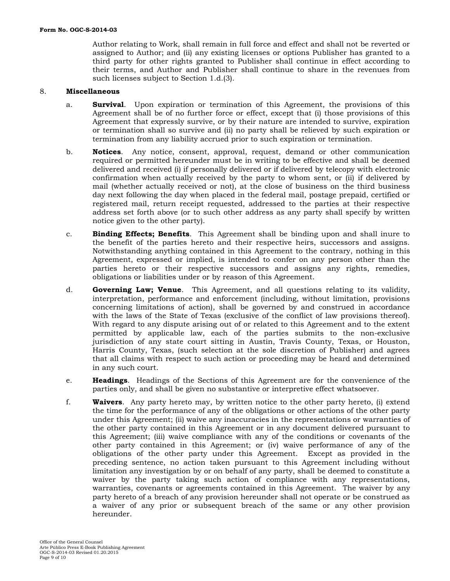Author relating to Work, shall remain in full force and effect and shall not be reverted or assigned to Author; and (ii) any existing licenses or options Publisher has granted to a third party for other rights granted to Publisher shall continue in effect according to their terms, and Author and Publisher shall continue to share in the revenues from such licenses subject to Section 1.d.(3).

# 8. **Miscellaneous**

- a. **Survival**. Upon expiration or termination of this Agreement, the provisions of this Agreement shall be of no further force or effect, except that (i) those provisions of this Agreement that expressly survive, or by their nature are intended to survive, expiration or termination shall so survive and (ii) no party shall be relieved by such expiration or termination from any liability accrued prior to such expiration or termination.
- b. **Notices**. Any notice, consent, approval, request, demand or other communication required or permitted hereunder must be in writing to be effective and shall be deemed delivered and received (i) if personally delivered or if delivered by telecopy with electronic confirmation when actually received by the party to whom sent, or (ii) if delivered by mail (whether actually received or not), at the close of business on the third business day next following the day when placed in the federal mail, postage prepaid, certified or registered mail, return receipt requested, addressed to the parties at their respective address set forth above (or to such other address as any party shall specify by written notice given to the other party).
- c. **Binding Effects; Benefits**. This Agreement shall be binding upon and shall inure to the benefit of the parties hereto and their respective heirs, successors and assigns. Notwithstanding anything contained in this Agreement to the contrary, nothing in this Agreement, expressed or implied, is intended to confer on any person other than the parties hereto or their respective successors and assigns any rights, remedies, obligations or liabilities under or by reason of this Agreement.
- d. **Governing Law; Venue**. This Agreement, and all questions relating to its validity, interpretation, performance and enforcement (including, without limitation, provisions concerning limitations of action), shall be governed by and construed in accordance with the laws of the State of Texas (exclusive of the conflict of law provisions thereof). With regard to any dispute arising out of or related to this Agreement and to the extent permitted by applicable law, each of the parties submits to the non-exclusive jurisdiction of any state court sitting in Austin, Travis County, Texas, or Houston, Harris County, Texas, (such selection at the sole discretion of Publisher) and agrees that all claims with respect to such action or proceeding may be heard and determined in any such court.
- e. **Headings**. Headings of the Sections of this Agreement are for the convenience of the parties only, and shall be given no substantive or interpretive effect whatsoever.
- f. **Waivers**. Any party hereto may, by written notice to the other party hereto, (i) extend the time for the performance of any of the obligations or other actions of the other party under this Agreement; (ii) waive any inaccuracies in the representations or warranties of the other party contained in this Agreement or in any document delivered pursuant to this Agreement; (iii) waive compliance with any of the conditions or covenants of the other party contained in this Agreement; or (iv) waive performance of any of the obligations of the other party under this Agreement. Except as provided in the preceding sentence, no action taken pursuant to this Agreement including without limitation any investigation by or on behalf of any party, shall be deemed to constitute a waiver by the party taking such action of compliance with any representations, warranties, covenants or agreements contained in this Agreement. The waiver by any party hereto of a breach of any provision hereunder shall not operate or be construed as a waiver of any prior or subsequent breach of the same or any other provision hereunder.